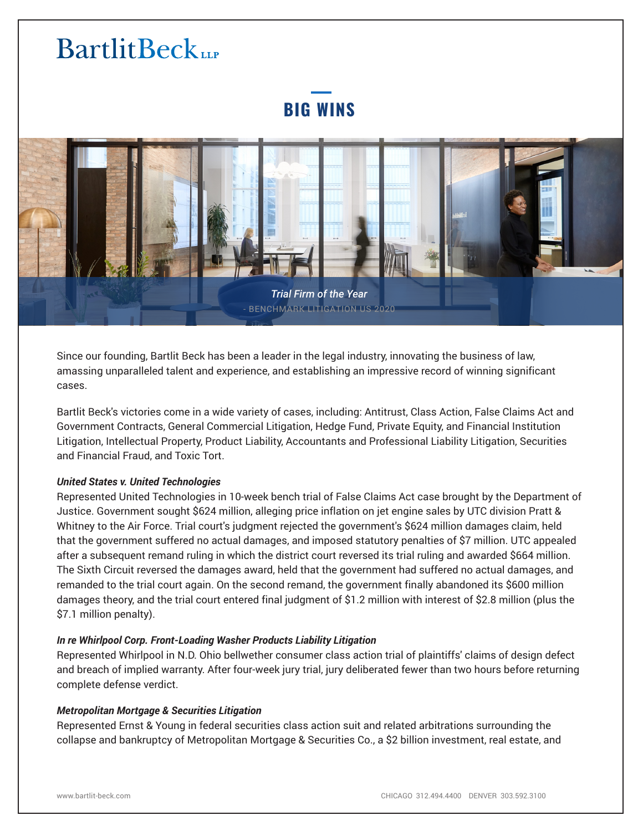**BIG WINS**



Since our founding, Bartlit Beck has been a leader in the legal industry, innovating the business of law, amassing unparalleled talent and experience, and establishing an impressive record of winning significant cases.

Bartlit Beck's victories come in a wide variety of cases, including: Antitrust, Class Action, False Claims Act and Government Contracts, General Commercial Litigation, Hedge Fund, Private Equity, and Financial Institution Litigation, Intellectual Property, Product Liability, Accountants and Professional Liability Litigation, Securities and Financial Fraud, and Toxic Tort.

# *United States v. United Technologies*

Represented United Technologies in 10-week bench trial of False Claims Act case brought by the Department of Justice. Government sought \$624 million, alleging price inflation on jet engine sales by UTC division Pratt & Whitney to the Air Force. Trial court's judgment rejected the government's \$624 million damages claim, held that the government suffered no actual damages, and imposed statutory penalties of \$7 million. UTC appealed after a subsequent remand ruling in which the district court reversed its trial ruling and awarded \$664 million. The Sixth Circuit reversed the damages award, held that the government had suffered no actual damages, and remanded to the trial court again. On the second remand, the government finally abandoned its \$600 million damages theory, and the trial court entered final judgment of \$1.2 million with interest of \$2.8 million (plus the \$7.1 million penalty).

# *In re Whirlpool Corp. Front-Loading Washer Products Liability Litigation*

Represented Whirlpool in N.D. Ohio bellwether consumer class action trial of plaintiffs' claims of design defect and breach of implied warranty. After four-week jury trial, jury deliberated fewer than two hours before returning complete defense verdict.

# *Metropolitan Mortgage & Securities Litigation*

Represented Ernst & Young in federal securities class action suit and related arbitrations surrounding the collapse and bankruptcy of Metropolitan Mortgage & Securities Co., a \$2 billion investment, real estate, and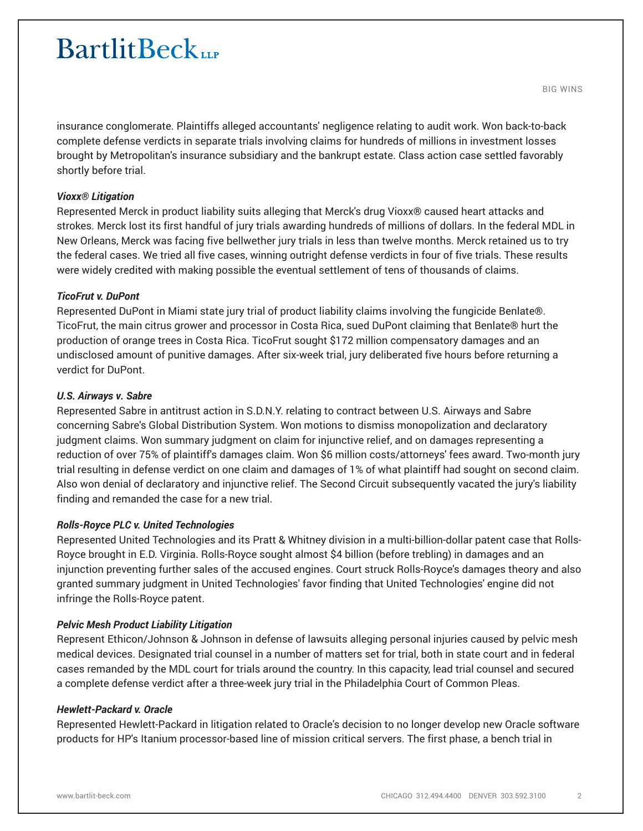BIG WINS

insurance conglomerate. Plaintiffs alleged accountants' negligence relating to audit work. Won back-to-back complete defense verdicts in separate trials involving claims for hundreds of millions in investment losses brought by Metropolitan's insurance subsidiary and the bankrupt estate. Class action case settled favorably shortly before trial.

## *Vioxx® Litigation*

Represented Merck in product liability suits alleging that Merck's drug Vioxx® caused heart attacks and strokes. Merck lost its first handful of jury trials awarding hundreds of millions of dollars. In the federal MDL in New Orleans, Merck was facing five bellwether jury trials in less than twelve months. Merck retained us to try the federal cases. We tried all five cases, winning outright defense verdicts in four of five trials. These results were widely credited with making possible the eventual settlement of tens of thousands of claims.

# *TicoFrut v. DuPont*

Represented DuPont in Miami state jury trial of product liability claims involving the fungicide Benlate®. TicoFrut, the main citrus grower and processor in Costa Rica, sued DuPont claiming that Benlate® hurt the production of orange trees in Costa Rica. TicoFrut sought \$172 million compensatory damages and an undisclosed amount of punitive damages. After six-week trial, jury deliberated five hours before returning a verdict for DuPont.

# *U.S. Airways v. Sabre*

Represented Sabre in antitrust action in S.D.N.Y. relating to contract between U.S. Airways and Sabre concerning Sabre's Global Distribution System. Won motions to dismiss monopolization and declaratory judgment claims. Won summary judgment on claim for injunctive relief, and on damages representing a reduction of over 75% of plaintiff's damages claim. Won \$6 million costs/attorneys' fees award. Two-month jury trial resulting in defense verdict on one claim and damages of 1% of what plaintiff had sought on second claim. Also won denial of declaratory and injunctive relief. The Second Circuit subsequently vacated the jury's liability finding and remanded the case for a new trial.

# *Rolls-Royce PLC v. United Technologies*

Represented United Technologies and its Pratt & Whitney division in a multi-billion-dollar patent case that Rolls-Royce brought in E.D. Virginia. Rolls-Royce sought almost \$4 billion (before trebling) in damages and an injunction preventing further sales of the accused engines. Court struck Rolls-Royce's damages theory and also granted summary judgment in United Technologies' favor finding that United Technologies' engine did not infringe the Rolls-Royce patent.

## *Pelvic Mesh Product Liability Litigation*

Represent Ethicon/Johnson & Johnson in defense of lawsuits alleging personal injuries caused by pelvic mesh medical devices. Designated trial counsel in a number of matters set for trial, both in state court and in federal cases remanded by the MDL court for trials around the country. In this capacity, lead trial counsel and secured a complete defense verdict after a three-week jury trial in the Philadelphia Court of Common Pleas.

## *Hewlett-Packard v. Oracle*

Represented Hewlett-Packard in litigation related to Oracle's decision to no longer develop new Oracle software products for HP's Itanium processor-based line of mission critical servers. The first phase, a bench trial in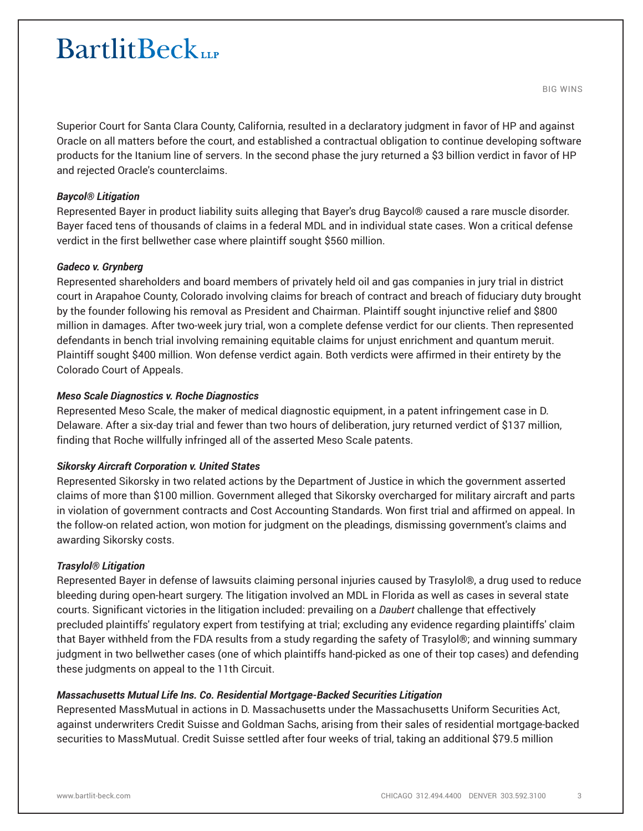BIG WINS

Superior Court for Santa Clara County, California, resulted in a declaratory judgment in favor of HP and against Oracle on all matters before the court, and established a contractual obligation to continue developing software products for the Itanium line of servers. In the second phase the jury returned a \$3 billion verdict in favor of HP and rejected Oracle's counterclaims.

## *Baycol® Litigation*

Represented Bayer in product liability suits alleging that Bayer's drug Baycol® caused a rare muscle disorder. Bayer faced tens of thousands of claims in a federal MDL and in individual state cases. Won a critical defense verdict in the first bellwether case where plaintiff sought \$560 million.

## *Gadeco v. Grynberg*

Represented shareholders and board members of privately held oil and gas companies in jury trial in district court in Arapahoe County, Colorado involving claims for breach of contract and breach of fiduciary duty brought by the founder following his removal as President and Chairman. Plaintiff sought injunctive relief and \$800 million in damages. After two-week jury trial, won a complete defense verdict for our clients. Then represented defendants in bench trial involving remaining equitable claims for unjust enrichment and quantum meruit. Plaintiff sought \$400 million. Won defense verdict again. Both verdicts were affirmed in their entirety by the Colorado Court of Appeals.

# *Meso Scale Diagnostics v. Roche Diagnostics*

Represented Meso Scale, the maker of medical diagnostic equipment, in a patent infringement case in D. Delaware. After a six-day trial and fewer than two hours of deliberation, jury returned verdict of \$137 million, finding that Roche willfully infringed all of the asserted Meso Scale patents.

# *Sikorsky Aircraft Corporation v. United States*

Represented Sikorsky in two related actions by the Department of Justice in which the government asserted claims of more than \$100 million. Government alleged that Sikorsky overcharged for military aircraft and parts in violation of government contracts and Cost Accounting Standards. Won first trial and affirmed on appeal. In the follow-on related action, won motion for judgment on the pleadings, dismissing government's claims and awarding Sikorsky costs.

## *Trasylol® Litigation*

Represented Bayer in defense of lawsuits claiming personal injuries caused by Trasylol®, a drug used to reduce bleeding during open-heart surgery. The litigation involved an MDL in Florida as well as cases in several state courts. Significant victories in the litigation included: prevailing on a *Daubert* challenge that effectively precluded plaintiffs' regulatory expert from testifying at trial; excluding any evidence regarding plaintiffs' claim that Bayer withheld from the FDA results from a study regarding the safety of Trasylol®; and winning summary judgment in two bellwether cases (one of which plaintiffs hand-picked as one of their top cases) and defending these judgments on appeal to the 11th Circuit.

## *Massachusetts Mutual Life Ins. Co. Residential Mortgage-Backed Securities Litigation*

Represented MassMutual in actions in D. Massachusetts under the Massachusetts Uniform Securities Act, against underwriters Credit Suisse and Goldman Sachs, arising from their sales of residential mortgage-backed securities to MassMutual. Credit Suisse settled after four weeks of trial, taking an additional \$79.5 million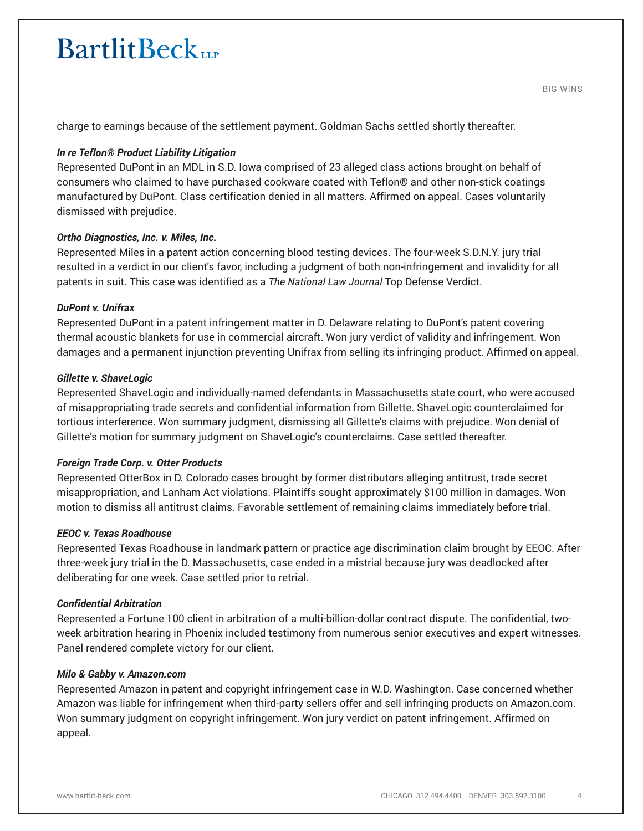charge to earnings because of the settlement payment. Goldman Sachs settled shortly thereafter.

# *In re Teflon® Product Liability Litigation*

Represented DuPont in an MDL in S.D. Iowa comprised of 23 alleged class actions brought on behalf of consumers who claimed to have purchased cookware coated with Teflon® and other non-stick coatings manufactured by DuPont. Class certification denied in all matters. Affirmed on appeal. Cases voluntarily dismissed with prejudice.

## *Ortho Diagnostics, Inc. v. Miles, Inc.*

Represented Miles in a patent action concerning blood testing devices. The four-week S.D.N.Y. jury trial resulted in a verdict in our client's favor, including a judgment of both non-infringement and invalidity for all patents in suit. This case was identified as a *The National Law Journal* Top Defense Verdict.

## *DuPont v. Unifrax*

Represented DuPont in a patent infringement matter in D. Delaware relating to DuPont's patent covering thermal acoustic blankets for use in commercial aircraft. Won jury verdict of validity and infringement. Won damages and a permanent injunction preventing Unifrax from selling its infringing product. Affirmed on appeal.

## *Gillette v. ShaveLogic*

Represented ShaveLogic and individually-named defendants in Massachusetts state court, who were accused of misappropriating trade secrets and confidential information from Gillette. ShaveLogic counterclaimed for tortious interference. Won summary judgment, dismissing all Gillette's claims with prejudice. Won denial of Gillette's motion for summary judgment on ShaveLogic's counterclaims. Case settled thereafter.

## *Foreign Trade Corp. v. Otter Products*

Represented OtterBox in D. Colorado cases brought by former distributors alleging antitrust, trade secret misappropriation, and Lanham Act violations. Plaintiffs sought approximately \$100 million in damages. Won motion to dismiss all antitrust claims. Favorable settlement of remaining claims immediately before trial.

## *EEOC v. Texas Roadhouse*

Represented Texas Roadhouse in landmark pattern or practice age discrimination claim brought by EEOC. After three-week jury trial in the D. Massachusetts, case ended in a mistrial because jury was deadlocked after deliberating for one week. Case settled prior to retrial.

## *Confidential Arbitration*

Represented a Fortune 100 client in arbitration of a multi-billion-dollar contract dispute. The confidential, twoweek arbitration hearing in Phoenix included testimony from numerous senior executives and expert witnesses. Panel rendered complete victory for our client.

## *Milo & Gabby v. Amazon.com*

Represented Amazon in patent and copyright infringement case in W.D. Washington. Case concerned whether Amazon was liable for infringement when third-party sellers offer and sell infringing products on Amazon.com. Won summary judgment on copyright infringement. Won jury verdict on patent infringement. Affirmed on appeal.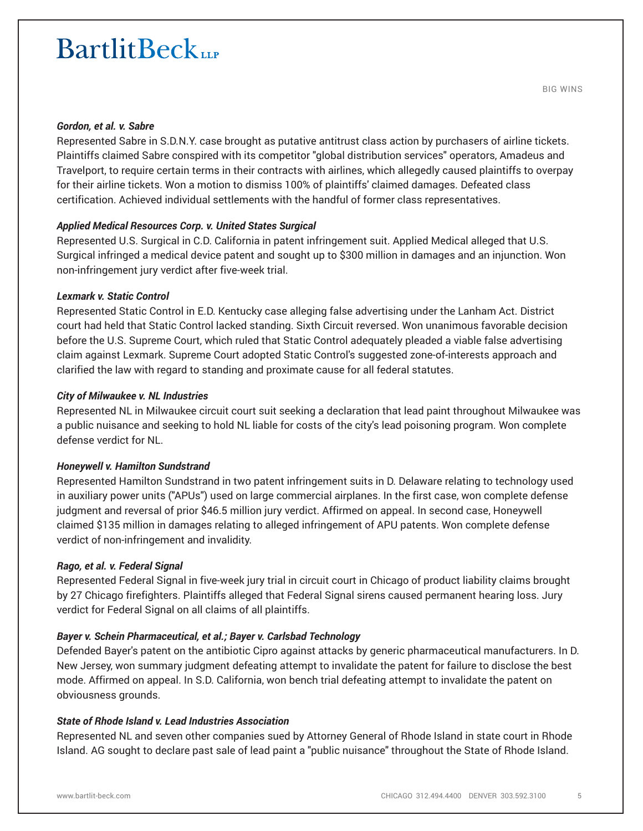### *Gordon, et al. v. Sabre*

Represented Sabre in S.D.N.Y. case brought as putative antitrust class action by purchasers of airline tickets. Plaintiffs claimed Sabre conspired with its competitor "global distribution services" operators, Amadeus and Travelport, to require certain terms in their contracts with airlines, which allegedly caused plaintiffs to overpay for their airline tickets. Won a motion to dismiss 100% of plaintiffs' claimed damages. Defeated class certification. Achieved individual settlements with the handful of former class representatives.

## *Applied Medical Resources Corp. v. United States Surgical*

Represented U.S. Surgical in C.D. California in patent infringement suit. Applied Medical alleged that U.S. Surgical infringed a medical device patent and sought up to \$300 million in damages and an injunction. Won non-infringement jury verdict after five-week trial.

#### *Lexmark v. Static Control*

Represented Static Control in E.D. Kentucky case alleging false advertising under the Lanham Act. District court had held that Static Control lacked standing. Sixth Circuit reversed. Won unanimous favorable decision before the U.S. Supreme Court, which ruled that Static Control adequately pleaded a viable false advertising claim against Lexmark. Supreme Court adopted Static Control's suggested zone-of-interests approach and clarified the law with regard to standing and proximate cause for all federal statutes.

#### *City of Milwaukee v. NL Industries*

Represented NL in Milwaukee circuit court suit seeking a declaration that lead paint throughout Milwaukee was a public nuisance and seeking to hold NL liable for costs of the city's lead poisoning program. Won complete defense verdict for NL.

#### *Honeywell v. Hamilton Sundstrand*

Represented Hamilton Sundstrand in two patent infringement suits in D. Delaware relating to technology used in auxiliary power units ("APUs") used on large commercial airplanes. In the first case, won complete defense judgment and reversal of prior \$46.5 million jury verdict. Affirmed on appeal. In second case, Honeywell claimed \$135 million in damages relating to alleged infringement of APU patents. Won complete defense verdict of non-infringement and invalidity.

#### *Rago, et al. v. Federal Signal*

Represented Federal Signal in five-week jury trial in circuit court in Chicago of product liability claims brought by 27 Chicago firefighters. Plaintiffs alleged that Federal Signal sirens caused permanent hearing loss. Jury verdict for Federal Signal on all claims of all plaintiffs.

### *Bayer v. Schein Pharmaceutical, et al.; Bayer v. Carlsbad Technology*

Defended Bayer's patent on the antibiotic Cipro against attacks by generic pharmaceutical manufacturers. In D. New Jersey, won summary judgment defeating attempt to invalidate the patent for failure to disclose the best mode. Affirmed on appeal. In S.D. California, won bench trial defeating attempt to invalidate the patent on obviousness grounds.

## *State of Rhode Island v. Lead Industries Association*

Represented NL and seven other companies sued by Attorney General of Rhode Island in state court in Rhode Island. AG sought to declare past sale of lead paint a "public nuisance" throughout the State of Rhode Island.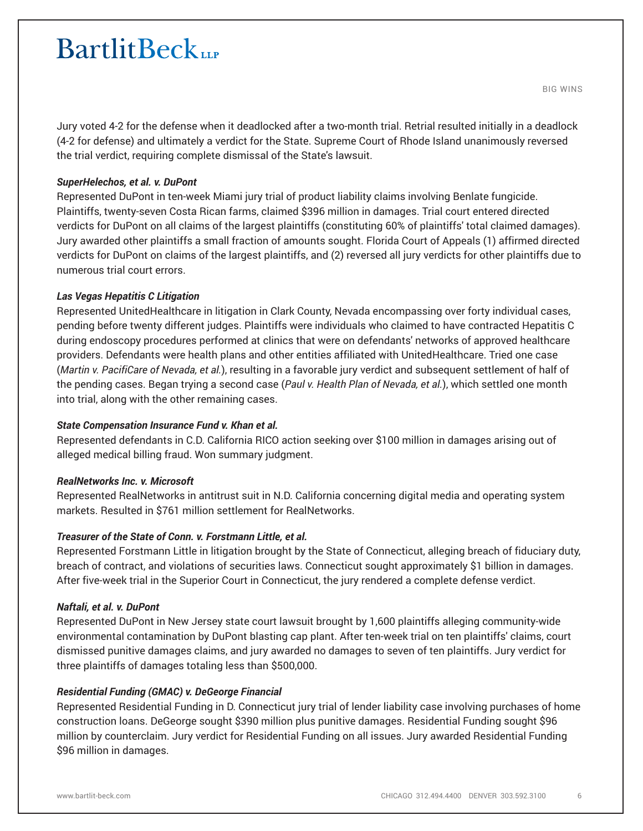Jury voted 4-2 for the defense when it deadlocked after a two-month trial. Retrial resulted initially in a deadlock (4-2 for defense) and ultimately a verdict for the State. Supreme Court of Rhode Island unanimously reversed the trial verdict, requiring complete dismissal of the State's lawsuit.

## *SuperHelechos, et al. v. DuPont*

Represented DuPont in ten-week Miami jury trial of product liability claims involving Benlate fungicide. Plaintiffs, twenty-seven Costa Rican farms, claimed \$396 million in damages. Trial court entered directed verdicts for DuPont on all claims of the largest plaintiffs (constituting 60% of plaintiffs' total claimed damages). Jury awarded other plaintiffs a small fraction of amounts sought. Florida Court of Appeals (1) affirmed directed verdicts for DuPont on claims of the largest plaintiffs, and (2) reversed all jury verdicts for other plaintiffs due to numerous trial court errors.

## *Las Vegas Hepatitis C Litigation*

Represented UnitedHealthcare in litigation in Clark County, Nevada encompassing over forty individual cases, pending before twenty different judges. Plaintiffs were individuals who claimed to have contracted Hepatitis C during endoscopy procedures performed at clinics that were on defendants' networks of approved healthcare providers. Defendants were health plans and other entities affiliated with UnitedHealthcare. Tried one case (*Martin v. PacifiCare of Nevada, et al.*), resulting in a favorable jury verdict and subsequent settlement of half of the pending cases. Began trying a second case (*Paul v. Health Plan of Nevada, et al.*), which settled one month into trial, along with the other remaining cases.

# *State Compensation Insurance Fund v. Khan et al.*

Represented defendants in C.D. California RICO action seeking over \$100 million in damages arising out of alleged medical billing fraud. Won summary judgment.

## *RealNetworks Inc. v. Microsoft*

Represented RealNetworks in antitrust suit in N.D. California concerning digital media and operating system markets. Resulted in \$761 million settlement for RealNetworks.

# *Treasurer of the State of Conn. v. Forstmann Little, et al.*

Represented Forstmann Little in litigation brought by the State of Connecticut, alleging breach of fiduciary duty, breach of contract, and violations of securities laws. Connecticut sought approximately \$1 billion in damages. After five-week trial in the Superior Court in Connecticut, the jury rendered a complete defense verdict.

## *Naftali, et al. v. DuPont*

Represented DuPont in New Jersey state court lawsuit brought by 1,600 plaintiffs alleging community-wide environmental contamination by DuPont blasting cap plant. After ten-week trial on ten plaintiffs' claims, court dismissed punitive damages claims, and jury awarded no damages to seven of ten plaintiffs. Jury verdict for three plaintiffs of damages totaling less than \$500,000.

# *Residential Funding (GMAC) v. DeGeorge Financial*

Represented Residential Funding in D. Connecticut jury trial of lender liability case involving purchases of home construction loans. DeGeorge sought \$390 million plus punitive damages. Residential Funding sought \$96 million by counterclaim. Jury verdict for Residential Funding on all issues. Jury awarded Residential Funding \$96 million in damages.

BIG WINS